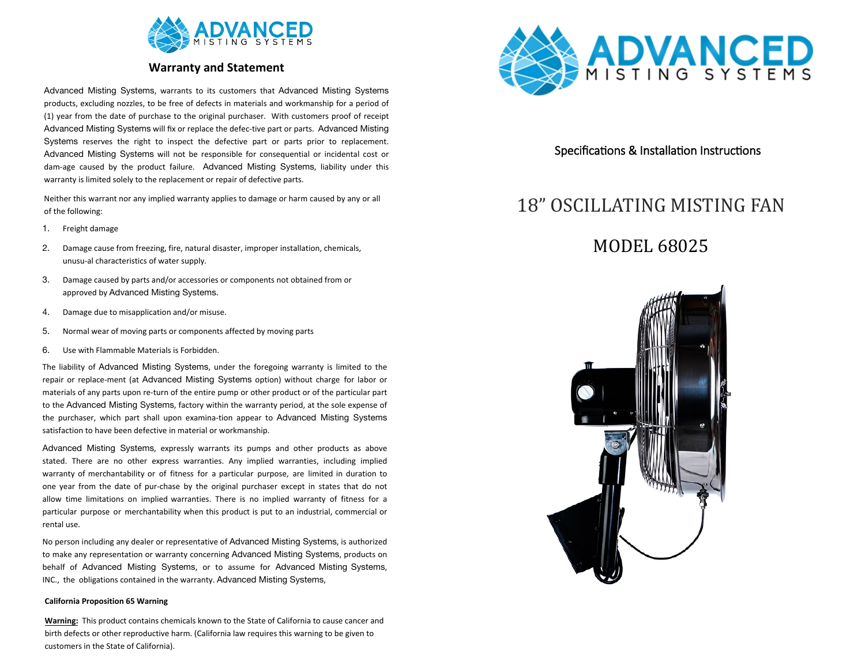

### **Warranty and Statement**

Advanced Misting Systems, warrants to its customers that Advanced Misting Systems products, excluding nozzles, to be free of defects in materials and workmanship for a period of (1) year from the date of purchase to the original purchaser. With customers proof of receipt Advanced Misting Systems will fix or replace the defec-tive part or parts. Advanced Misting Systems reserves the right to inspect the defective part or parts prior to replacement. Advanced Misting Systems will not be responsible for consequential or incidental cost or dam-age caused by the product failure. Advanced Misting Systems, liability under this warranty is limited solely to the replacement or repair of defective parts.

Neither this warrant nor any implied warranty applies to damage or harm caused by any or all of the following:

- 1. Freight damage
- 2. Damage cause from freezing, fire, natural disaster, improper installation, chemicals, unusu-al characteristics of water supply.
- 3. Damage caused by parts and/or accessories or components not obtained from or approved by Advanced Misting Systems.
- 4. Damage due to misapplication and/or misuse.
- 5. Normal wear of moving parts or components affected by moving parts
- 6. Use with Flammable Materials is Forbidden.

The liability of Advanced Misting Systems, under the foregoing warranty is limited to the repair or replace-ment (at Advanced Misting Systems option) without charge for labor or materials of any parts upon re-turn of the entire pump or other product or of the particular part to the Advanced Misting Systems, factory within the warranty period, at the sole expense of the purchaser, which part shall upon examina-tion appear to Advanced Misting Systems satisfaction to have been defective in material or workmanship.

Advanced Misting Systems, expressly warrants its pumps and other products as above stated. There are no other express warranties. Any implied warranties, including implied warranty of merchantability or of fitness for a particular purpose, are limited in duration to one year from the date of pur-chase by the original purchaser except in states that do not allow time limitations on implied warranties. There is no implied warranty of fitness for a particular purpose or merchantability when this product is put to an industrial, commercial or rental use.

No person including any dealer or representative of Advanced Misting Systems, is authorized to make any representation or warranty concerning Advanced Misting Systems, products on behalf of Advanced Misting Systems, or to assume for Advanced Misting Systems, INC., the obligations contained in the warranty. Advanced Misting Systems,

#### **California Proposition 65 Warning**

**Warning:** This product contains chemicals known to the State of California to cause cancer and birth defects or other reproductive harm. (California law requires this warning to be given to customers in the State of California).



### Specifications & Installation Instructions

# 18" OSCILLATING MISTING FAN

## MODEL 68025